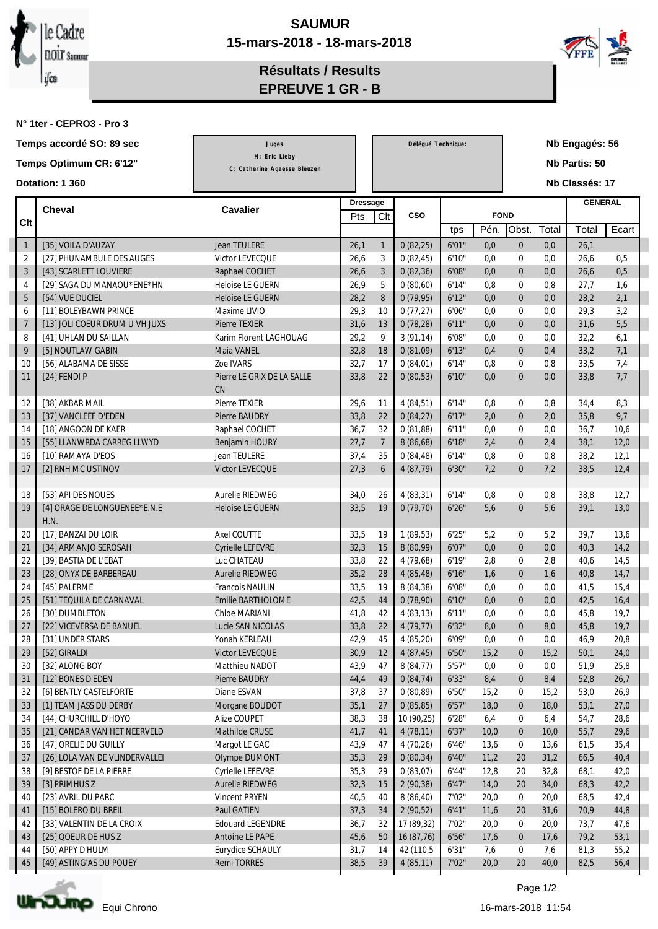



**Résultats / Results EPREUVE 1 GR - B**

**N° 1ter - CEPRO3 - Pro 3**

| Temps accordé SO: 89 sec |                 |                                                  | Juges                            |                 | Délégué Technique: |                       | Nb Engagés: 56 |              |                                      |              |                |                |
|--------------------------|-----------------|--------------------------------------------------|----------------------------------|-----------------|--------------------|-----------------------|----------------|--------------|--------------------------------------|--------------|----------------|----------------|
| Temps Optimum CR: 6'12"  |                 |                                                  | H: Eric Lieby                    |                 |                    |                       |                |              |                                      |              | Nb Partis: 50  |                |
|                          |                 |                                                  | C: Catherine Agaesse Bleuzen     |                 |                    |                       |                |              |                                      |              |                |                |
|                          |                 | Dotation: 1 360                                  |                                  |                 |                    |                       |                |              |                                      |              | Nb Classés: 17 |                |
|                          |                 |                                                  |                                  | <b>Dressage</b> |                    |                       |                |              |                                      |              |                | <b>GENERAL</b> |
| Clt                      |                 | <b>Cheval</b>                                    | <b>Cavalier</b>                  | Pts             | Clt                | <b>CSO</b>            |                |              | <b>FOND</b>                          |              |                |                |
|                          |                 |                                                  |                                  |                 |                    |                       | tps            | Pén.         | Obst.                                | Total        | Total          | Ecart          |
|                          | $\mathbf{1}$    | [35] VOILA D'AUZAY                               | <b>Jean TEULERE</b>              | 26,1            | $\mathbf{1}$       | 0(82,25)              | 6'01"          | 0,0          | $\bf{0}$                             | 0,0          | 26,1           |                |
|                          | 2               | [27] PHUNAMBULE DES AUGES                        | Victor LEVECQUE                  | 26,6            | 3                  | 0(82, 45)             | 6'10''         | 0.0          | $\boldsymbol{0}$                     | 0,0          | 26,6           | 0.5            |
|                          | 3               | [43] SCARLETT LOUVIERE                           | Raphael COCHET                   | 26,6            | 3                  | 0(82,36)              | 6'08"          | 0,0          | $\bf{0}$                             | 0,0          | 26,6           | 0,5            |
|                          | $\overline{4}$  | [29] SAGA DU MANAOU*ENE*HN                       | Heloise LE GUERN                 | 26,9            | 5                  | 0(80,60)              | 6'14"          | 0,8          | $\boldsymbol{0}$                     | 0,8          | 27,7           | 1,6            |
|                          | $5\phantom{.0}$ | [54] VUE DUCIEL                                  | <b>Heloise LE GUERN</b>          | 28,2            | 8                  | 0(79,95)              | 6'12"          | 0,0          | $\bf{0}$                             | 0,0          | 28,2           | 2,1            |
|                          | 6               | [11] BOLEYBAWN PRINCE                            | Maxime LIVIO                     | 29,3            | 10                 | 0(77,27)              | 6'06"          | 0.0          | $\boldsymbol{0}$                     | 0,0          | 29,3           | 3,2            |
|                          | $\overline{7}$  | [13] JOLI COEUR DRUM U VH JUXS                   | <b>Pierre TEXIER</b>             | 31,6            | 13                 | 0(78,28)              | 6'11"          | 0.0          | $\bf{0}$                             | 0,0          | 31,6           | 5,5            |
|                          | 8               | [41] UHLAN DU SAILLAN                            | Karim Florent LAGHOUAG           | 29,2            | 9                  | 3(91, 14)             | 6'08"          | 0.0          | $\boldsymbol{0}$                     | 0,0          | 32,2           | 6,1            |
|                          | 9               | [5] NOUTLAW GABIN                                | Maia VANEL                       | 32,8            | 18                 | 0(81,09)              | 6'13"          | 0,4          | $\mathbf{0}$                         | 0,4          | 33,2           | 7,1            |
|                          | 10              | [56] ALABAMA DE SISSE                            | <b>Zoe IVARS</b>                 | 32,7            | 17                 | 0(84,01)              | 6'14"          | 0,8          | $\bf{0}$                             | 0,8          | 33,5           | 7,4            |
|                          | 11              | $[24]$ FENDI P                                   | Pierre LE GRIX DE LA SALLE<br>CN | 33,8            | 22                 | 0(80,53)              | 6'10"          | 0,0          | $\mathbf{0}$                         | 0,0          | 33,8           | 7,7            |
|                          | 12              | [38] AKBAR MAIL                                  | <b>Pierre TEXIER</b>             | 29,6            | 11                 | 4(84,51)              | 6'14"          | 0,8          | $\boldsymbol{0}$                     | 0,8          | 34,4           | 8,3            |
|                          | 13              | [37] VANCLEEF D'EDEN                             | <b>Pierre BAUDRY</b>             | 33,8            | 22                 | 0(84,27)              | 6'17"          | 2,0          | $\mathbf{0}$                         | 2,0          | 35,8           | 9,7            |
|                          | 14              | [18] ANGOON DE KAER                              | Raphael COCHET                   | 36,7            | 32                 | 0(81,88)              | 6'11"          | 0,0          | $\boldsymbol{0}$                     | 0,0          | 36,7           | 10,6           |
|                          | 15              | [55] LLANWRDA CARREG LLWYD                       | Benjamin HOURY                   | 27,7            | $\overline{7}$     | 8(86,68)              | 6'18"          | 2.4          | $\mathbf{0}$                         | 2,4          | 38,1           | 12,0           |
|                          | 16              | [10] RAMAYA D'EOS                                | <b>Jean TEULERE</b>              | 37,4            | 35                 | 0(84, 48)             | 6'14"          | 0,8          | $\bf{0}$                             | 0,8          | 38,2           | 12,1           |
|                          | 17              | [2] RNH MC USTINOV                               | Victor LEVECQUE                  | 27,3            | $6\phantom{.}6$    | 4 (87,79)             | 6'30"          | 7,2          | $\mathbf{0}$                         | 7,2          | 38,5           | 12,4           |
|                          |                 |                                                  |                                  |                 |                    |                       |                |              |                                      |              |                |                |
|                          | 18              | [53] API DES NOUES                               | Aurelie RIEDWEG                  | 34,0            | 26                 | 4(83,31)              | 6'14"          | 0,8          | $\boldsymbol{0}$                     | 0,8          | 38,8           | 12,7           |
|                          | 19              | [4] ORAGE DE LONGUENEE*E.N.E                     | Heloise LE GUERN                 | 33,5            | 19                 | 0(79,70)              | 6'26"          | 5,6          | $\mathbf{0}$                         | 5,6          | 39,1           | 13,0           |
|                          |                 | H.N.                                             |                                  |                 |                    |                       |                |              |                                      |              |                |                |
|                          | 20              | [17] BANZAI DU LOIR                              | Axel COUTTE                      | 33,5            | 19                 | 1(89,53)              | 6'25''         | 5,2          | $\bf{0}$                             | 5,2          | 39,7           | 13,6           |
|                          | 21              | [34] ARMANJO SEROSAH                             | Cyrielle LEFEVRE                 | 32,3            | 15                 | 8 (80,99)             | 6'07"          | 0,0          | $\boldsymbol{0}$                     | 0,0          | 40,3           | 14,2           |
|                          | 22              | [39] BASTIA DE L'EBAT                            | Luc CHATEAU                      | 33,8            | 22                 | 4(79,68)              | 6'19''         | 2,8          | $\boldsymbol{0}$                     | 2,8          | 40,6           | 14,5           |
|                          | 23              | [28] ONYX DE BARBEREAU                           | <b>Aurelie RIEDWEG</b>           | 35,2            | 28                 | 4(85, 48)             | 6'16"          | 1,6          | $\boldsymbol{0}$                     | 1,6          | 40,8           | 14,7           |
|                          | 24              | [45] PALERME                                     | Francois NAULIN                  | 33,5            | 19                 | 8 (84,38)             | 6'08''         | 0,0          | $\boldsymbol{0}$                     | 0,0          | 41,5           | 15,4           |
|                          | 25              | [51] TEQUILA DE CARNAVAL                         | Emilie BARTHOLOME                | 42,5            | 44                 | 0(78,90)              | 6'10''         | 0,0          | $\mathbf{0}$                         | 0,0          | 42,5           | 16,4           |
|                          | 26              | [30] DUMBLETON                                   | Chloe MARIANI                    | 41,8            | 42                 | 4(83,13)              | 6'11''         | 0,0          | $\boldsymbol{0}$                     | 0,0          | 45,8           | 19,7           |
|                          | 27              | [22] VICEVERSA DE BANUEL                         | Lucie SAN NICOLAS                | 33,8            | 22                 | 4(79,77)              | 6'32"          | 8,0          | $\theta$                             | 8,0          | 45,8           | 19,7           |
|                          | 28              | [31] UNDER STARS                                 | Yonah KERLEAU                    | 42,9            | 45                 | 4(85,20)              | 6'09''         | 0,0          | $\bf{0}$                             | 0,0          | 46,9           | 20,8           |
|                          | 29              | [52] GIRALDI                                     | Victor LEVECQUE                  | $30,9$          | 12                 | 4(87, 45)             | 6'50"          | 15,2         | $\boldsymbol{0}$                     | 15,2         | 50,1           | 24,0           |
|                          | 30              | [32] ALONG BOY                                   | Matthieu NADOT                   | 43,9            | 47<br>49           | 8 (84,77)             | 5'57"<br>6'33" | 0,0<br>8,4   | $\bf{0}$                             | 0,0          | 51,9           | 25,8           |
|                          | 31              | [12] BONES D'EDEN                                | Pierre BAUDRY                    | 44,4            | 37                 | 0(84,74)              |                |              | $\bf{0}$                             | 8,4          | 52,8           | 26,7           |
|                          | 32<br>33        | [6] BENTLY CASTELFORTE<br>[1] TEAM JASS DU DERBY | Diane ESVAN<br>Morgane BOUDOT    | 37,8<br>35,1    | 27                 | 0(80,89)<br>0(85, 85) | 6'50"<br>6'57" | 15,2<br>18,0 | $\boldsymbol{0}$<br>$\boldsymbol{0}$ | 15,2<br>18,0 | 53,0<br>53,1   | 26,9<br>27,0   |
|                          | 34              | [44] CHURCHILL D'HOYO                            | Alize COUPET                     | 38,3            | 38                 | 10 (90,25)            | 6'28''         | 6,4          | $\boldsymbol{0}$                     | 6,4          | 54,7           | 28,6           |
|                          | 35              | [21] CANDAR VAN HET NEERVELD                     | Mathilde CRUSE                   | 41,7            | 41                 | 4(78,11)              | 6'37"          | 10,0         | $\boldsymbol{0}$                     | 10,0         | 55,7           | 29,6           |
|                          | 36              | [47] ORELIE DU GUILLY                            | Margot LE GAC                    | 43,9            | 47                 | 4(70,26)              | 6'46''         | 13,6         | $\bf{0}$                             | 13,6         | 61,5           | 35,4           |
|                          | 37              | [26] LOLA VAN DE VLINDERVALLEI                   | Olympe DUMONT                    | 35,3            | 29                 | 0(80, 34)             | 6'40''         | 11,2         | 20                                   | 31,2         | 66,5           | 40,4           |
|                          | 38              | [9] BESTOF DE LA PIERRE                          | Cyrielle LEFEVRE                 | 35,3            | 29                 | 0(83,07)              | 6'44"          | 12,8         | 20                                   | 32,8         | 68,1           | 42,0           |
|                          | 39              | [3] PRIMHUS Z                                    | Aurelie RIEDWEG                  | 32,3            | 15                 | 2(90,38)              | 6'47''         | 14,0         | 20                                   | 34,0         | 68,3           | 42,2           |
|                          | 40              | [23] AVRIL DU PARC                               | Vincent PRYEN                    | 40,5            | 40                 | 8(86,40)              | 7'02"          | 20,0         | $\boldsymbol{0}$                     | 20,0         | 68,5           | 42,4           |
|                          | 41              | [15] BOLERO DU BREIL                             | Paul GATIEN                      | 37,3            | 34                 | 2(90,52)              | 6'41''         | 11,6         | 20                                   | 31,6         | 70,9           | 44,8           |
|                          | 42              | [33] VALENTIN DE LA CROIX                        | <b>Edouard LEGENDRE</b>          | 36,7            | 32                 | 17 (89,32)            | 7'02"          | 20,0         | $\boldsymbol{0}$                     | 20,0         | 73,7           | 47,6           |
|                          | 43              | [25] QOEUR DE HUS Z                              | Antoine LE PAPE                  | 45,6            | 50                 | 16 (87,76)            | 6'56"          | 17,6         | $\boldsymbol{0}$                     | 17,6         | 79,2           | 53,1           |
|                          | 44              | [50] APPY D'HULM                                 | Eurydice SCHAULY                 | 31,7            | 14                 | 42 (110,5)            | 6'31"          | 7,6          | $\boldsymbol{0}$                     | 7,6          | 81,3           | 55,2           |
|                          | 45              | [49] ASTING'AS DU POUEY                          | Remi TORRES                      | 38,5            | 39                 | 4(85,11)              | 7'02"          | 20,0         | 20                                   | 40,0         | 82,5           | 56,4           |
|                          |                 |                                                  |                                  |                 |                    |                       |                |              |                                      |              |                |                |



Page 1/2